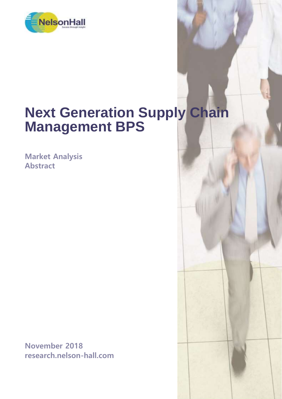

# **Next Generation Supply Chain Management BPS**

**Market Analysis Abstract**

**November 2018 research.nelson-hall.com**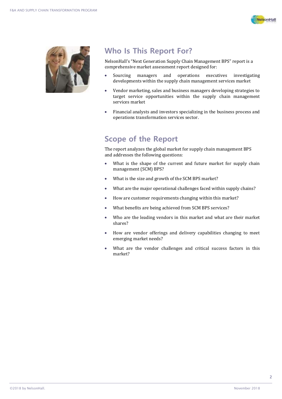



## **Who Is This Report For?**

NelsonHall's "Next Generation Supply Chain Management BPS" report is a comprehensive market assessment report designed for:

- Sourcing managers and operations executives investigating developments within the supply chain management services market
- Vendor marketing, sales and business managers developing strategies to target service opportunities within the supply chain management services market
- Financial analysts and investors specializing in the business process and operations transformation services sector.

## **Scope of the Report**

The report analyzes the global market for supply chain management BPS and addresses the following questions:

- What is the shape of the current and future market for supply chain management (SCM) BPS?
- What is the size and growth of the SCM BPS market?
- What are the major operational challenges faced within supply chains?
- How are customer requirements changing within this market?
- What benefits are being achieved from SCM BPS services?
- Who are the leading vendors in this market and what are their market shares?
- How are vendor offerings and delivery capabilities changing to meet emerging market needs?
- What are the vendor challenges and critical success factors in this market?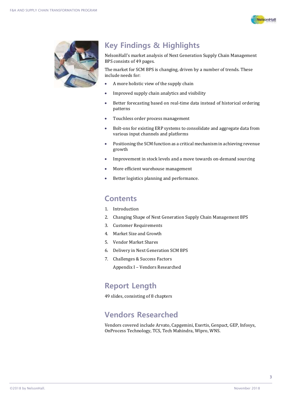



# **Key Findings & Highlights**

NelsonHall's market analysis of Next Generation Supply Chain Management BPS consists of 49 pages.

The market for SCM BPS is changing, driven by a number of trends. These include needs for:

- A more holistic view of the supply chain
- Improved supply chain analytics and visibility
- Better forecasting based on real-time data instead of historical ordering patterns
- Touchless order process management
- Bolt-ons for existing ERP systems to consolidate and aggregate data from various input channels and platforms
- Positioning the SCM function as a critical mechanism in achieving revenue growth
- Improvement in stock levels and a move towards on-demand sourcing
- More efficient warehouse management
- **•** Better logistics planning and performance.

#### **Contents**

- 1. Introduction
- 2. Changing Shape of Next Generation Supply Chain Management BPS
- 3. Customer Requirements
- 4. Market Size and Growth
- 5. Vendor Market Shares
- 6. Delivery in Next Generation SCM BPS
- 7. Challenges & Success Factors

Appendix I – Vendors Researched

### **Report Length**

49 slides, consisting of 8 chapters

## **Vendors Researched**

Vendors covered include Arvato, Capgemini, Exertis, Genpact, GEP, Infosys, OnProcess Technology, TCS, Tech Mahindra, Wipro, WNS.